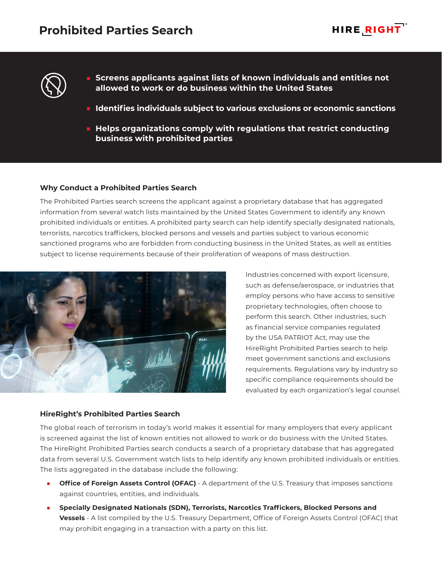



- **Screens applicants against lists of known individuals and entities not allowed to work or do business within the United States**
- **Identifies individuals subject to various exclusions or economic sanctions**
- **Helps organizations comply with regulations that restrict conducting business with prohibited parties**

## **Why Conduct a Prohibited Parties Search**

The Prohibited Parties search screens the applicant against a proprietary database that has aggregated information from several watch lists maintained by the United States Government to identify any known prohibited individuals or entities. A prohibited party search can help identify specially designated nationals, terrorists, narcotics traffickers, blocked persons and vessels and parties subject to various economic sanctioned programs who are forbidden from conducting business in the United States, as well as entities subject to license requirements because of their proliferation of weapons of mass destruction.



**HireRight's Prohibited Parties Search**

Industries concerned with export licensure, such as defense/aerospace, or industries that employ persons who have access to sensitive proprietary technologies, often choose to perform this search. Other industries, such as financial service companies regulated by the USA PATRIOT Act, may use the HireRight Prohibited Parties search to help meet government sanctions and exclusions requirements. Regulations vary by industry so specific compliance requirements should be evaluated by each organization's legal counsel.

The global reach of terrorism in today's world makes it essential for many employers that every applicant is screened against the list of known entities not allowed to work or do business with the United States. The HireRight Prohibited Parties search conducts a search of a proprietary database that has aggregated data from several U.S. Government watch lists to help identify any known prohibited individuals or entities. The lists aggregated in the database include the following:

- **Office of Foreign Assets Control (OFAC)** A department of the U.S. Treasury that imposes sanctions against countries, entities, and individuals.
- **Specially Designated Nationals (SDN), Terrorists, Narcotics Traffickers, Blocked Persons and Vessels** - A list compiled by the U.S. Treasury Department, Office of Foreign Assets Control (OFAC) that may prohibit engaging in a transaction with a party on this list.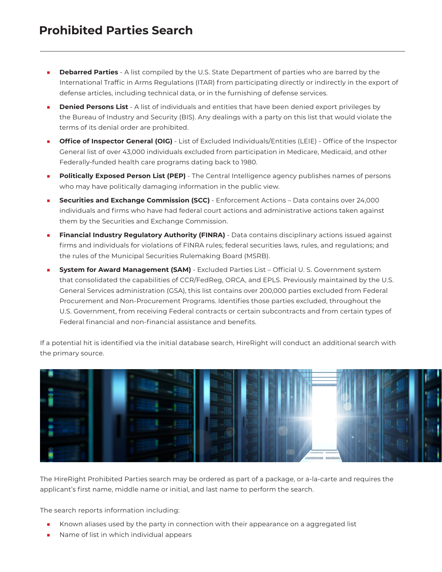- **Debarred Parties** A list compiled by the U.S. State Department of parties who are barred by the International Traffic in Arms Regulations (ITAR) from participating directly or indirectly in the export of defense articles, including technical data, or in the furnishing of defense services.
- **Denied Persons List** A list of individuals and entities that have been denied export privileges by the Bureau of Industry and Security (BIS). Any dealings with a party on this list that would violate the terms of its denial order are prohibited.
- **Office of Inspector General (OIG)** List of Excluded Individuals/Entities (LEIE) Office of the Inspector General list of over 43,000 individuals excluded from participation in Medicare, Medicaid, and other Federally-funded health care programs dating back to 1980.
- **Politically Exposed Person List (PEP)** The Central Intelligence agency publishes names of persons who may have politically damaging information in the public view.
- **Securities and Exchange Commission (SCC)** Enforcement Actions Data contains over 24,000 individuals and firms who have had federal court actions and administrative actions taken against them by the Securities and Exchange Commission.
- **Financial Industry Regulatory Authority (FINRA)** Data contains disciplinary actions issued against firms and individuals for violations of FINRA rules; federal securities laws, rules, and regulations; and the rules of the Municipal Securities Rulemaking Board (MSRB).
- **System for Award Management (SAM)** Excluded Parties List Official U. S. Government system that consolidated the capabilities of CCR/FedReg, ORCA, and EPLS. Previously maintained by the U.S. General Services administration (GSA), this list contains over 200,000 parties excluded from Federal Procurement and Non-Procurement Programs. Identifies those parties excluded, throughout the U.S. Government, from receiving Federal contracts or certain subcontracts and from certain types of Federal financial and non-financial assistance and benefits.

If a potential hit is identified via the initial database search, HireRight will conduct an additional search with the primary source.



The HireRight Prohibited Parties search may be ordered as part of a package, or a-la-carte and requires the applicant's first name, middle name or initial, and last name to perform the search.

The search reports information including:

- Known aliases used by the party in connection with their appearance on a aggregated list
- Name of list in which individual appears